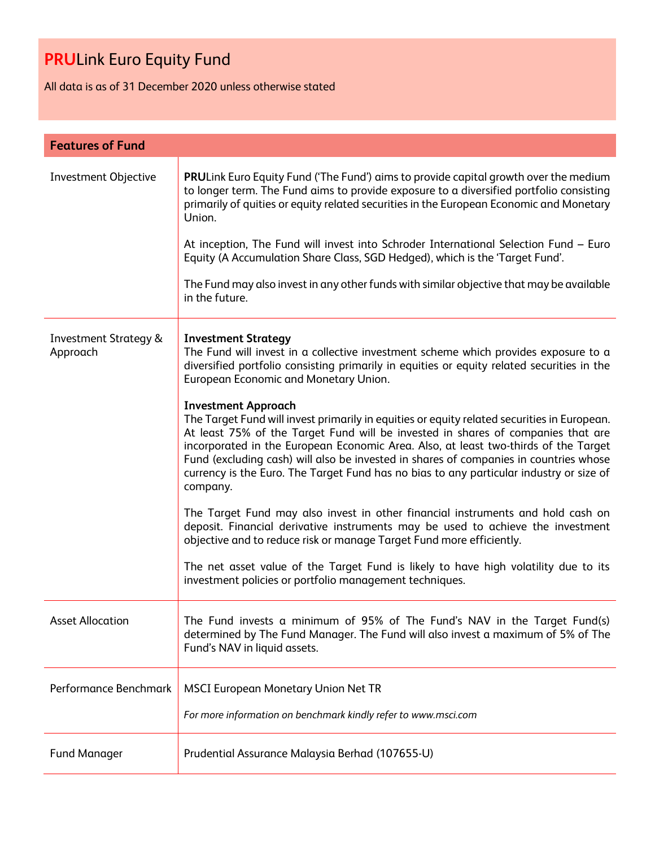All data is as of 31 December 2020 unless otherwise stated

| <b>Features of Fund</b>                      |                                                                                                                                                                                                                                                                                                                                                                                                                                                                                                      |
|----------------------------------------------|------------------------------------------------------------------------------------------------------------------------------------------------------------------------------------------------------------------------------------------------------------------------------------------------------------------------------------------------------------------------------------------------------------------------------------------------------------------------------------------------------|
| Investment Objective                         | <b>PRULink Euro Equity Fund ('The Fund') aims to provide capital growth over the medium</b><br>to longer term. The Fund aims to provide exposure to a diversified portfolio consisting<br>primarily of quities or equity related securities in the European Economic and Monetary<br>Union.<br>At inception, The Fund will invest into Schroder International Selection Fund - Euro                                                                                                                  |
|                                              | Equity (A Accumulation Share Class, SGD Hedged), which is the 'Target Fund'.                                                                                                                                                                                                                                                                                                                                                                                                                         |
|                                              | The Fund may also invest in any other funds with similar objective that may be available<br>in the future.                                                                                                                                                                                                                                                                                                                                                                                           |
| <b>Investment Strategy &amp;</b><br>Approach | <b>Investment Strategy</b><br>The Fund will invest in a collective investment scheme which provides exposure to a<br>diversified portfolio consisting primarily in equities or equity related securities in the<br>European Economic and Monetary Union.                                                                                                                                                                                                                                             |
|                                              | <b>Investment Approach</b><br>The Target Fund will invest primarily in equities or equity related securities in European.<br>At least 75% of the Target Fund will be invested in shares of companies that are<br>incorporated in the European Economic Area. Also, at least two-thirds of the Target<br>Fund (excluding cash) will also be invested in shares of companies in countries whose<br>currency is the Euro. The Target Fund has no bias to any particular industry or size of<br>company. |
|                                              | The Target Fund may also invest in other financial instruments and hold cash on<br>deposit. Financial derivative instruments may be used to achieve the investment<br>objective and to reduce risk or manage Target Fund more efficiently.                                                                                                                                                                                                                                                           |
|                                              | The net asset value of the Target Fund is likely to have high volatility due to its<br>investment policies or portfolio management techniques.                                                                                                                                                                                                                                                                                                                                                       |
| <b>Asset Allocation</b>                      | The Fund invests a minimum of 95% of The Fund's NAV in the Target Fund(s)<br>determined by The Fund Manager. The Fund will also invest a maximum of 5% of The<br>Fund's NAV in liquid assets.                                                                                                                                                                                                                                                                                                        |
| Performance Benchmark                        | <b>MSCI European Monetary Union Net TR</b>                                                                                                                                                                                                                                                                                                                                                                                                                                                           |
|                                              | For more information on benchmark kindly refer to www.msci.com                                                                                                                                                                                                                                                                                                                                                                                                                                       |
| <b>Fund Manager</b>                          | Prudential Assurance Malaysia Berhad (107655-U)                                                                                                                                                                                                                                                                                                                                                                                                                                                      |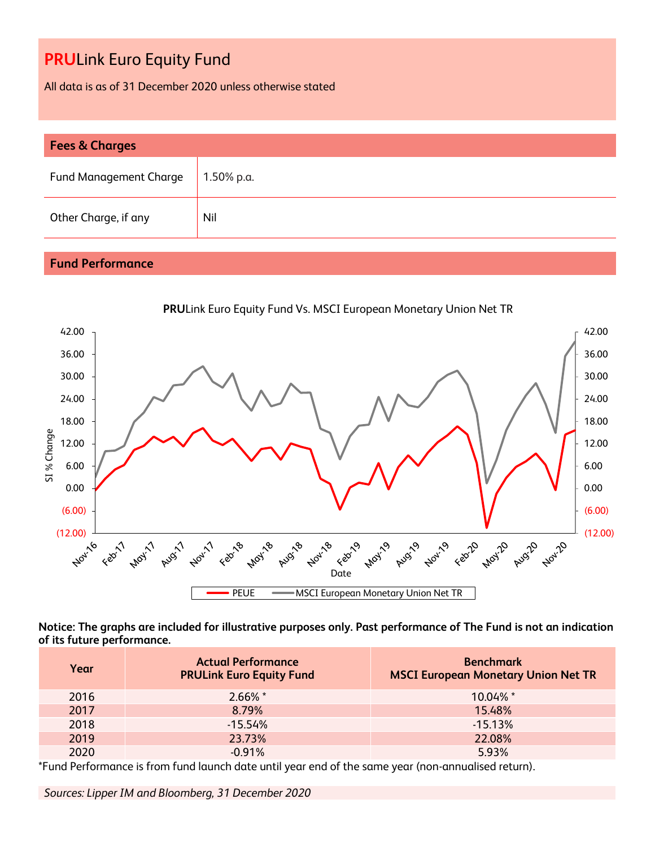All data is as of 31 December 2020 unless otherwise stated

| <b>Fees &amp; Charges</b>     |               |  |
|-------------------------------|---------------|--|
| <b>Fund Management Charge</b> | $1.50\%$ p.a. |  |
| Other Charge, if any          | Nil           |  |

### **Fund Performance**



**Notice: The graphs are included for illustrative purposes only. Past performance of The Fund is not an indication of its future performance.**

| Year | <b>Actual Performance</b><br><b>PRULink Euro Equity Fund</b> | <b>Benchmark</b><br><b>MSCI European Monetary Union Net TR</b> |
|------|--------------------------------------------------------------|----------------------------------------------------------------|
| 2016 | $2.66\%$ *                                                   | 10.04% *                                                       |
| 2017 | 8.79%                                                        | 15.48%                                                         |
| 2018 | $-15.54%$                                                    | $-15.13%$                                                      |
| 2019 | 23.73%                                                       | 22.08%                                                         |
| 2020 | $-0.91%$                                                     | 5.93%                                                          |

\*Fund Performance is from fund launch date until year end of the same year (non-annualised return).

*Sources: Lipper IM and Bloomberg, 31 December 2020*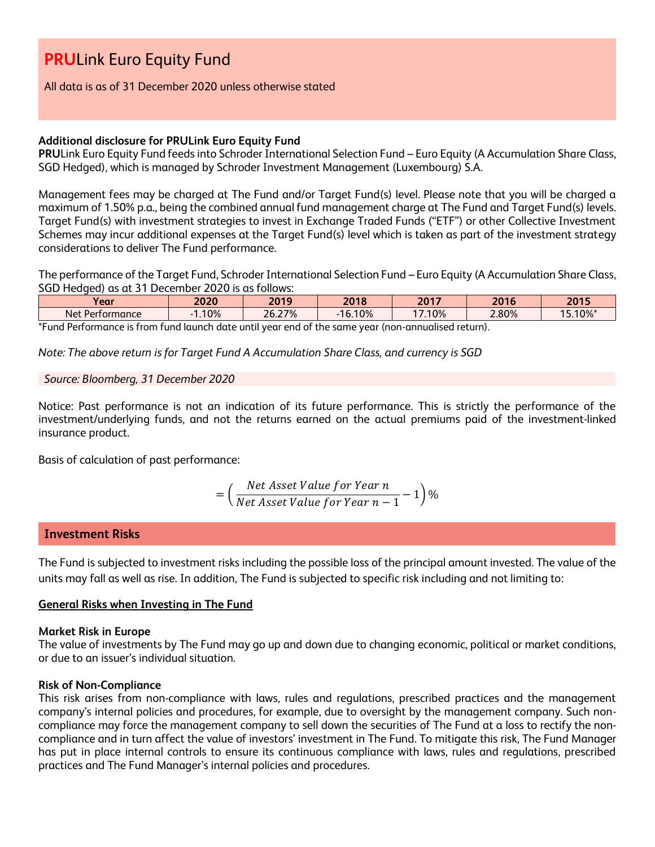All data is as of 31 December 2020 unless otherwise stated

#### **Additional disclosure for PRULink Euro Equity Fund**

**PRU**Link Euro Equity Fund feeds into Schroder International Selection Fund – Euro Equity (A Accumulation Share Class, SGD Hedged), which is managed by Schroder Investment Management (Luxembourg) S.A.

Management fees may be charged at The Fund and/or Target Fund(s) level. Please note that you will be charged a maximum of 1.50% p.a., being the combined annual fund management charge at The Fund and Target Fund(s) levels. Target Fund(s) with investment strategies to invest in Exchange Traded Funds ("ETF") or other Collective Investment Schemes may incur additional expenses at the Target Fund(s) level which is taken as part of the investment strategy considerations to deliver The Fund performance.

The performance of the Target Fund, Schroder International Selection Fund – Euro Equity (A Accumulation Share Class, SGD Hedged) as at 31 December 2020 is as follows:

| .10%<br>15.10%*<br>2.80%<br>26.27%<br>6.10%<br>.10%<br>AC<br>Net <sub>1</sub><br>: Performance | Vear | 2020 | 2019 | 2018 | 2017 | 2016 | 2015 |
|------------------------------------------------------------------------------------------------|------|------|------|------|------|------|------|
|                                                                                                |      |      |      |      |      |      |      |

\*Fund Performance is from fund launch date until year end of the same year (non-annualised return).

*Note: The above return is for Target Fund A Accumulation Share Class, and currency is SGD*

#### *Source: Bloomberg, 31 December 2020*

Notice: Past performance is not an indication of its future performance. This is strictly the performance of the investment/underlying funds, and not the returns earned on the actual premiums paid of the investment-linked insurance product.

Basis of calculation of past performance:

$$
= \left(\frac{Net\ Asset\ Value\ for\ Year\ n}{Net\ Asset\ Value\ for\ Year\ n-1} - 1\right)\%
$$

#### **Investment Risks**

The Fund is subjected to investment risks including the possible loss of the principal amount invested. The value of the units may fall as well as rise. In addition, The Fund is subjected to specific risk including and not limiting to:

#### **General Risks when Investing in The Fund**

#### **Market Risk in Europe**

The value of investments by The Fund may go up and down due to changing economic, political or market conditions, or due to an issuer's individual situation.

#### **Risk of Non-Compliance**

This risk arises from non-compliance with laws, rules and regulations, prescribed practices and the management company's internal policies and procedures, for example, due to oversight by the management company. Such noncompliance may force the management company to sell down the securities of The Fund at a loss to rectify the noncompliance and in turn affect the value of investors' investment in The Fund. To mitigate this risk, The Fund Manager has put in place internal controls to ensure its continuous compliance with laws, rules and regulations, prescribed practices and The Fund Manager's internal policies and procedures.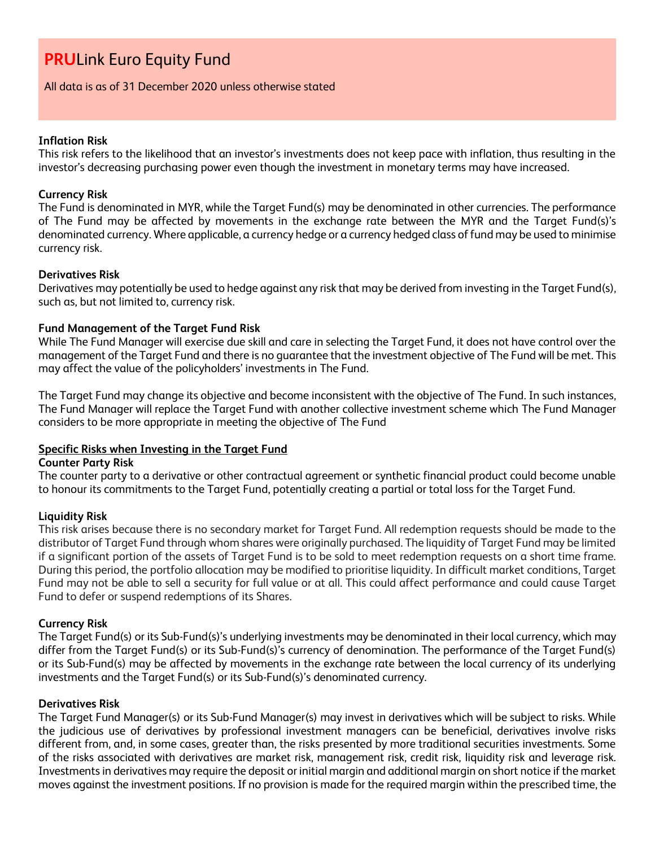#### All data is as of 31 December 2020 unless otherwise stated

#### **Inflation Risk**

This risk refers to the likelihood that an investor's investments does not keep pace with inflation, thus resulting in the investor's decreasing purchasing power even though the investment in monetary terms may have increased.

#### **Currency Risk**

The Fund is denominated in MYR, while the Target Fund(s) may be denominated in other currencies. The performance of The Fund may be affected by movements in the exchange rate between the MYR and the Target Fund(s)'s denominated currency. Where applicable, a currency hedge or a currency hedged class of fund may be used to minimise currency risk.

#### **Derivatives Risk**

Derivatives may potentially be used to hedge against any risk that may be derived from investing in the Target Fund(s), such as, but not limited to, currency risk.

#### **Fund Management of the Target Fund Risk**

While The Fund Manager will exercise due skill and care in selecting the Target Fund, it does not have control over the management of the Target Fund and there is no guarantee that the investment objective of The Fund will be met. This may affect the value of the policyholders' investments in The Fund.

The Target Fund may change its objective and become inconsistent with the objective of The Fund. In such instances, The Fund Manager will replace the Target Fund with another collective investment scheme which The Fund Manager considers to be more appropriate in meeting the objective of The Fund

#### **Specific Risks when Investing in the Target Fund**

#### **Counter Party Risk**

The counter party to a derivative or other contractual agreement or synthetic financial product could become unable to honour its commitments to the Target Fund, potentially creating a partial or total loss for the Target Fund.

#### **Liquidity Risk**

This risk arises because there is no secondary market for Target Fund. All redemption requests should be made to the distributor of Target Fund through whom shares were originally purchased. The liquidity of Target Fund may be limited if a significant portion of the assets of Target Fund is to be sold to meet redemption requests on a short time frame. During this period, the portfolio allocation may be modified to prioritise liquidity. In difficult market conditions, Target Fund may not be able to sell a security for full value or at all. This could affect performance and could cause Target Fund to defer or suspend redemptions of its Shares.

#### **Currency Risk**

The Target Fund(s) or its Sub-Fund(s)'s underlying investments may be denominated in their local currency, which may differ from the Target Fund(s) or its Sub-Fund(s)'s currency of denomination. The performance of the Target Fund(s) or its Sub-Fund(s) may be affected by movements in the exchange rate between the local currency of its underlying investments and the Target Fund(s) or its Sub-Fund(s)'s denominated currency.

#### **Derivatives Risk**

The Target Fund Manager(s) or its Sub-Fund Manager(s) may invest in derivatives which will be subject to risks. While the judicious use of derivatives by professional investment managers can be beneficial, derivatives involve risks different from, and, in some cases, greater than, the risks presented by more traditional securities investments. Some of the risks associated with derivatives are market risk, management risk, credit risk, liquidity risk and leverage risk. Investments in derivatives may require the deposit or initial margin and additional margin on short notice if the market moves against the investment positions. If no provision is made for the required margin within the prescribed time, the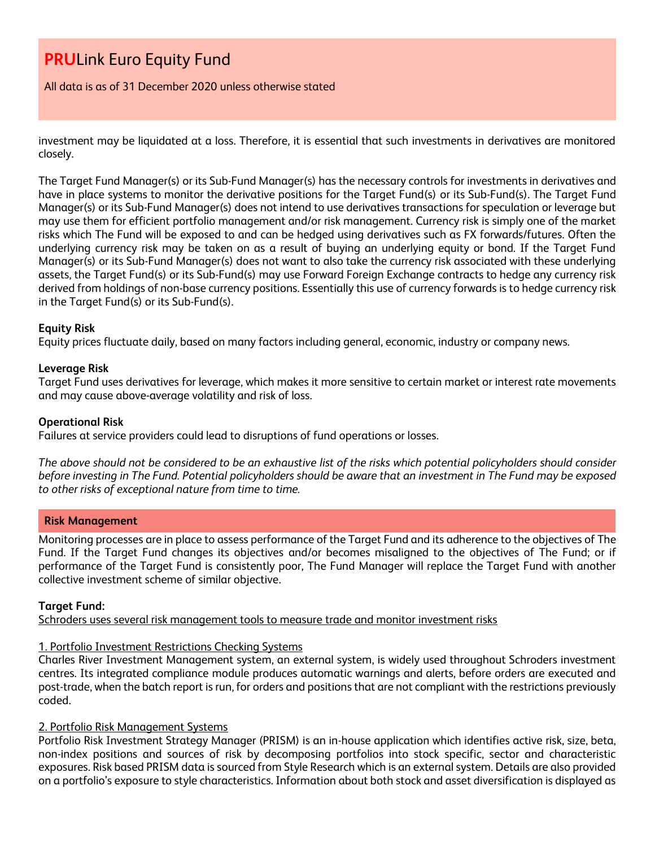All data is as of 31 December 2020 unless otherwise stated

investment may be liquidated at a loss. Therefore, it is essential that such investments in derivatives are monitored closely.

The Target Fund Manager(s) or its Sub-Fund Manager(s) has the necessary controls for investments in derivatives and have in place systems to monitor the derivative positions for the Target Fund(s) or its Sub-Fund(s). The Target Fund Manager(s) or its Sub-Fund Manager(s) does not intend to use derivatives transactions for speculation or leverage but may use them for efficient portfolio management and/or risk management. Currency risk is simply one of the market risks which The Fund will be exposed to and can be hedged using derivatives such as FX forwards/futures. Often the underlying currency risk may be taken on as a result of buying an underlying equity or bond. If the Target Fund Manager(s) or its Sub-Fund Manager(s) does not want to also take the currency risk associated with these underlying assets, the Target Fund(s) or its Sub-Fund(s) may use Forward Foreign Exchange contracts to hedge any currency risk derived from holdings of non-base currency positions. Essentially this use of currency forwards is to hedge currency risk in the Target Fund(s) or its Sub-Fund(s).

#### **Equity Risk**

Equity prices fluctuate daily, based on many factors including general, economic, industry or company news.

#### **Leverage Risk**

Target Fund uses derivatives for leverage, which makes it more sensitive to certain market or interest rate movements and may cause above-average volatility and risk of loss.

#### **Operational Risk**

Failures at service providers could lead to disruptions of fund operations or losses.

*The above should not be considered to be an exhaustive list of the risks which potential policyholders should consider before investing in The Fund. Potential policyholders should be aware that an investment in The Fund may be exposed to other risks of exceptional nature from time to time.*

#### **Risk Management**

Monitoring processes are in place to assess performance of the Target Fund and its adherence to the objectives of The Fund. If the Target Fund changes its objectives and/or becomes misaligned to the objectives of The Fund; or if performance of the Target Fund is consistently poor, The Fund Manager will replace the Target Fund with another collective investment scheme of similar objective.

#### **Target Fund:**

Schroders uses several risk management tools to measure trade and monitor investment risks

#### 1. Portfolio Investment Restrictions Checking Systems

Charles River Investment Management system, an external system, is widely used throughout Schroders investment centres. Its integrated compliance module produces automatic warnings and alerts, before orders are executed and post-trade, when the batch report is run, for orders and positions that are not compliant with the restrictions previously coded.

#### 2. Portfolio Risk Management Systems

Portfolio Risk Investment Strategy Manager (PRISM) is an in-house application which identifies active risk, size, beta, non-index positions and sources of risk by decomposing portfolios into stock specific, sector and characteristic exposures. Risk based PRISM data is sourced from Style Research which is an external system. Details are also provided on a portfolio's exposure to style characteristics. Information about both stock and asset diversification is displayed as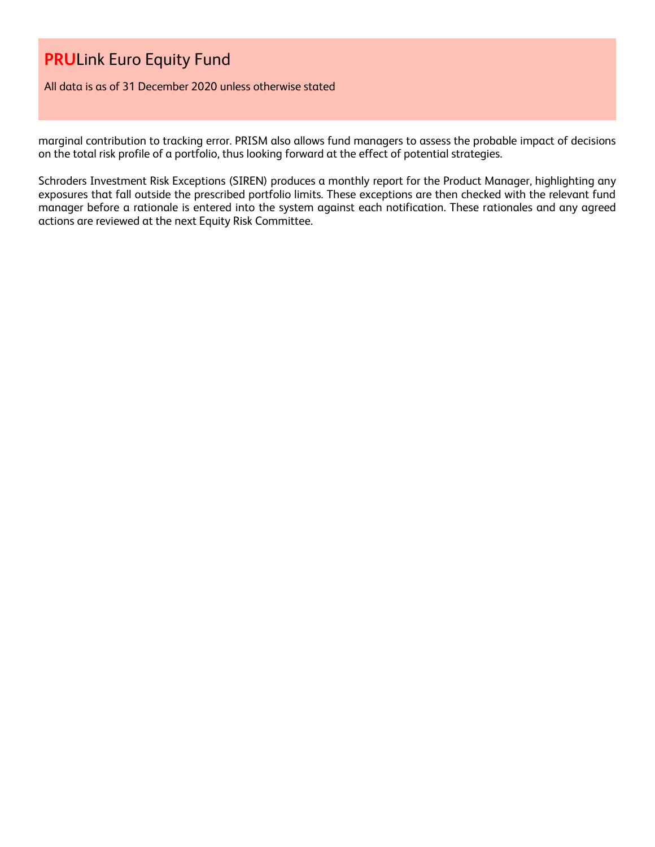All data is as of 31 December 2020 unless otherwise stated

marginal contribution to tracking error. PRISM also allows fund managers to assess the probable impact of decisions on the total risk profile of a portfolio, thus looking forward at the effect of potential strategies.

Schroders Investment Risk Exceptions (SIREN) produces a monthly report for the Product Manager, highlighting any exposures that fall outside the prescribed portfolio limits. These exceptions are then checked with the relevant fund manager before a rationale is entered into the system against each notification. These rationales and any agreed actions are reviewed at the next Equity Risk Committee.